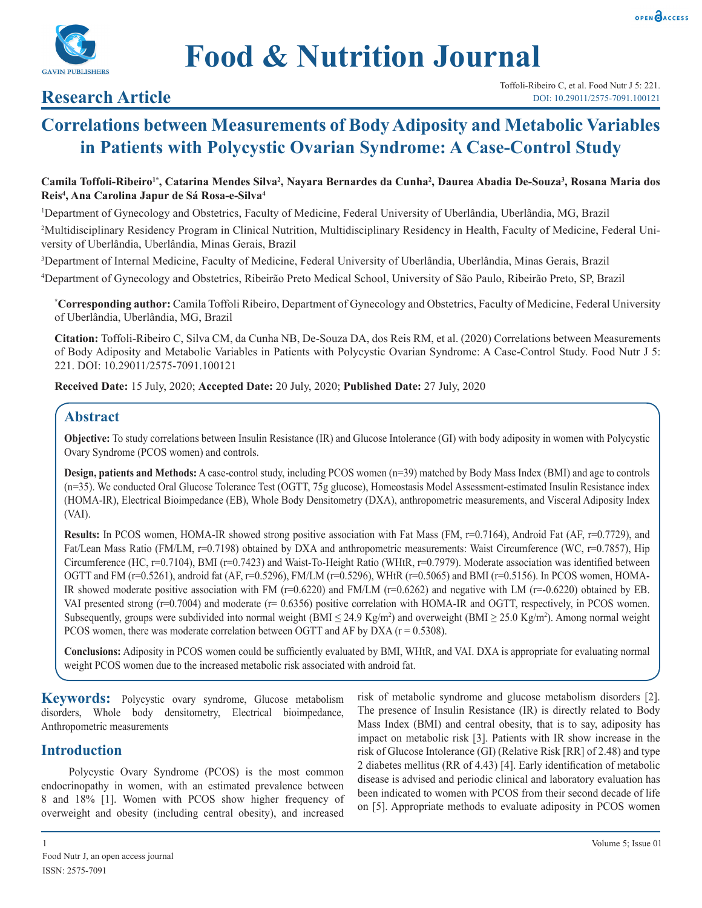



# **Research Article**

# **Correlations between Measurements of Body Adiposity and Metabolic Variables in Patients with Polycystic Ovarian Syndrome: A Case-Control Study**

### Camila Toffoli-Ribeiro<sup>1\*</sup>, Catarina Mendes Silva<sup>2</sup>, Nayara Bernardes da Cunha<sup>2</sup>, Daurea Abadia De-Souza<sup>3</sup>, Rosana Maria dos **Reis4 , Ana Carolina Japur de Sá Rosa-e-Silva4**

1 Department of Gynecology and Obstetrics, Faculty of Medicine, Federal University of Uberlândia, Uberlândia, MG, Brazil 2 Multidisciplinary Residency Program in Clinical Nutrition, Multidisciplinary Residency in Health, Faculty of Medicine, Federal University of Uberlândia, Uberlândia, Minas Gerais, Brazil

3 Department of Internal Medicine, Faculty of Medicine, Federal University of Uberlândia, Uberlândia, Minas Gerais, Brazil

4 Department of Gynecology and Obstetrics, Ribeirão Preto Medical School, University of São Paulo, Ribeirão Preto, SP, Brazil

**\* Corresponding author:** Camila Toffoli Ribeiro, Department of Gynecology and Obstetrics, Faculty of Medicine, Federal University of Uberlândia, Uberlândia, MG, Brazil

**Citation:** Toffoli-Ribeiro C, Silva CM, da Cunha NB, De-Souza DA, dos Reis RM, et al. (2020) Correlations between Measurements of Body Adiposity and Metabolic Variables in Patients with Polycystic Ovarian Syndrome: A Case-Control Study. Food Nutr J 5: 221. DOI: 10.29011/2575-7091.100121

**Received Date:** 15 July, 2020; **Accepted Date:** 20 July, 2020; **Published Date:** 27 July, 2020

# **Abstract**

**Objective:** To study correlations between Insulin Resistance (IR) and Glucose Intolerance (GI) with body adiposity in women with Polycystic Ovary Syndrome (PCOS women) and controls.

**Design, patients and Methods:** A case-control study, including PCOS women (n=39) matched by Body Mass Index (BMI) and age to controls (n=35). We conducted Oral Glucose Tolerance Test (OGTT, 75g glucose), Homeostasis Model Assessment-estimated Insulin Resistance index (HOMA-IR), Electrical Bioimpedance (EB), Whole Body Densitometry (DXA), anthropometric measurements, and Visceral Adiposity Index (VAI).

**Results:** In PCOS women, HOMA-IR showed strong positive association with Fat Mass (FM, r=0.7164), Android Fat (AF, r=0.7729), and Fat/Lean Mass Ratio (FM/LM, r=0.7198) obtained by DXA and anthropometric measurements: Waist Circumference (WC, r=0.7857), Hip Circumference (HC, r=0.7104), BMI (r=0.7423) and Waist-To-Height Ratio (WHtR, r=0.7979). Moderate association was identified between OGTT and FM (r=0.5261), android fat (AF, r=0.5296), FM/LM (r=0.5296), WHtR (r=0.5065) and BMI (r=0.5156). In PCOS women, HOMA-IR showed moderate positive association with FM  $(r=0.6220)$  and FM/LM  $(r=0.6262)$  and negative with LM  $(r=-0.6220)$  obtained by EB. VAI presented strong (r=0.7004) and moderate (r= 0.6356) positive correlation with HOMA-IR and OGTT, respectively, in PCOS women. Subsequently, groups were subdivided into normal weight  $(BMI \leq 24.9 \text{ Kg/m}^2)$  and overweight  $(BMI \geq 25.0 \text{ Kg/m}^2)$ . Among normal weight PCOS women, there was moderate correlation between OGTT and AF by DXA (r = 0.5308).

**Conclusions:** Adiposity in PCOS women could be sufficiently evaluated by BMI, WHtR, and VAI. DXA is appropriate for evaluating normal weight PCOS women due to the increased metabolic risk associated with android fat.

**Keywords:** Polycystic ovary syndrome, Glucose metabolism disorders, Whole body densitometry, Electrical bioimpedance, Anthropometric measurements

# **Introduction**

Polycystic Ovary Syndrome (PCOS) is the most common endocrinopathy in women, with an estimated prevalence between 8 and 18% [1]. Women with PCOS show higher frequency of overweight and obesity (including central obesity), and increased risk of metabolic syndrome and glucose metabolism disorders [2]. The presence of Insulin Resistance (IR) is directly related to Body Mass Index (BMI) and central obesity, that is to say, adiposity has impact on metabolic risk [3]. Patients with IR show increase in the risk of Glucose Intolerance (GI) (Relative Risk [RR] of 2.48) and type 2 diabetes mellitus (RR of 4.43) [4]. Early identification of metabolic disease is advised and periodic clinical and laboratory evaluation has been indicated to women with PCOS from their second decade of life on [5]. Appropriate methods to evaluate adiposity in PCOS women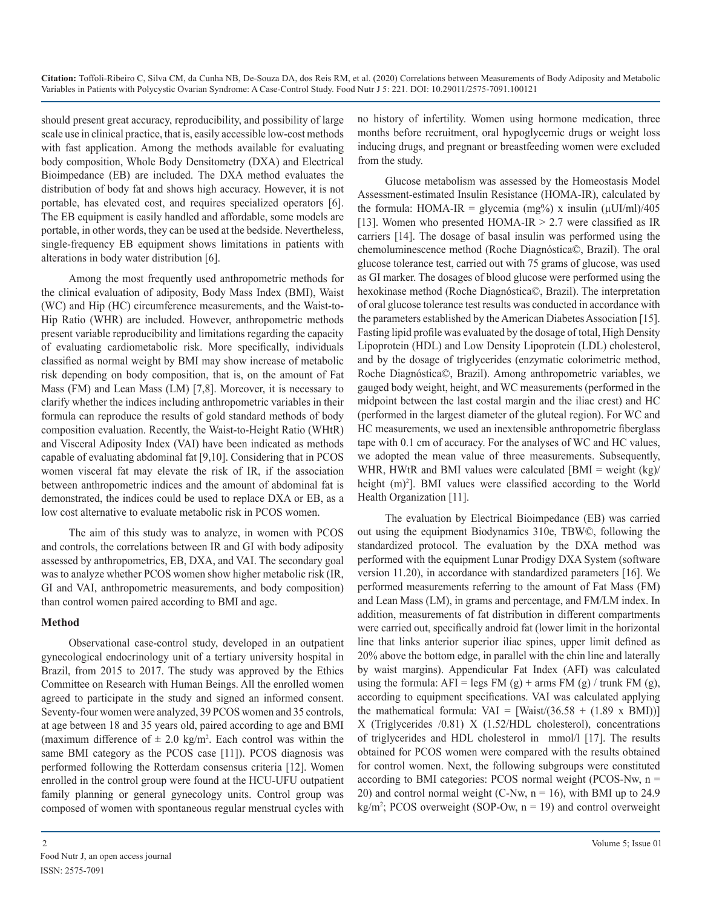should present great accuracy, reproducibility, and possibility of large scale use in clinical practice, that is, easily accessible low-cost methods with fast application. Among the methods available for evaluating body composition, Whole Body Densitometry (DXA) and Electrical Bioimpedance (EB) are included. The DXA method evaluates the distribution of body fat and shows high accuracy. However, it is not portable, has elevated cost, and requires specialized operators [6]. The EB equipment is easily handled and affordable, some models are portable, in other words, they can be used at the bedside. Nevertheless, single-frequency EB equipment shows limitations in patients with alterations in body water distribution [6].

Among the most frequently used anthropometric methods for the clinical evaluation of adiposity, Body Mass Index (BMI), Waist (WC) and Hip (HC) circumference measurements, and the Waist-to-Hip Ratio (WHR) are included. However, anthropometric methods present variable reproducibility and limitations regarding the capacity of evaluating cardiometabolic risk. More specifically, individuals classified as normal weight by BMI may show increase of metabolic risk depending on body composition, that is, on the amount of Fat Mass (FM) and Lean Mass (LM) [7,8]. Moreover, it is necessary to clarify whether the indices including anthropometric variables in their formula can reproduce the results of gold standard methods of body composition evaluation. Recently, the Waist-to-Height Ratio (WHtR) and Visceral Adiposity Index (VAI) have been indicated as methods capable of evaluating abdominal fat [9,10]. Considering that in PCOS women visceral fat may elevate the risk of IR, if the association between anthropometric indices and the amount of abdominal fat is demonstrated, the indices could be used to replace DXA or EB, as a low cost alternative to evaluate metabolic risk in PCOS women.

The aim of this study was to analyze, in women with PCOS and controls, the correlations between IR and GI with body adiposity assessed by anthropometrics, EB, DXA, and VAI. The secondary goal was to analyze whether PCOS women show higher metabolic risk (IR, GI and VAI, anthropometric measurements, and body composition) than control women paired according to BMI and age.

### **Method**

Observational case-control study, developed in an outpatient gynecological endocrinology unit of a tertiary university hospital in Brazil, from 2015 to 2017. The study was approved by the Ethics Committee on Research with Human Beings. All the enrolled women agreed to participate in the study and signed an informed consent. Seventy-four women were analyzed, 39 PCOS women and 35 controls, at age between 18 and 35 years old, paired according to age and BMI (maximum difference of  $\pm 2.0 \text{ kg/m}^2$ . Each control was within the same BMI category as the PCOS case [11]). PCOS diagnosis was performed following the Rotterdam consensus criteria [12]. Women enrolled in the control group were found at the HCU-UFU outpatient family planning or general gynecology units. Control group was composed of women with spontaneous regular menstrual cycles with

no history of infertility. Women using hormone medication, three months before recruitment, oral hypoglycemic drugs or weight loss inducing drugs, and pregnant or breastfeeding women were excluded from the study.

Glucose metabolism was assessed by the Homeostasis Model Assessment-estimated Insulin Resistance (HOMA-IR), calculated by the formula: HOMA-IR = glycemia (mg%) x insulin ( $\mu$ UI/ml)/405 [13]. Women who presented HOMA-IR  $> 2.7$  were classified as IR carriers [14]. The dosage of basal insulin was performed using the chemoluminescence method (Roche Diagnóstica©, Brazil). The oral glucose tolerance test, carried out with 75 grams of glucose, was used as GI marker. The dosages of blood glucose were performed using the hexokinase method (Roche Diagnóstica©, Brazil). The interpretation of oral glucose tolerance test results was conducted in accordance with the parameters established by the American Diabetes Association [15]. Fasting lipid profile was evaluated by the dosage of total, High Density Lipoprotein (HDL) and Low Density Lipoprotein (LDL) cholesterol, and by the dosage of triglycerides (enzymatic colorimetric method, Roche Diagnóstica©, Brazil). Among anthropometric variables, we gauged body weight, height, and WC measurements (performed in the midpoint between the last costal margin and the iliac crest) and HC (performed in the largest diameter of the gluteal region). For WC and HC measurements, we used an inextensible anthropometric fiberglass tape with 0.1 cm of accuracy. For the analyses of WC and HC values, we adopted the mean value of three measurements. Subsequently, WHR, HWtR and BMI values were calculated  $|BMI| = weight (kg)/$ height (m)<sup>2</sup>]. BMI values were classified according to the World Health Organization [11].

The evaluation by Electrical Bioimpedance (EB) was carried out using the equipment Biodynamics 310e, TBW©, following the standardized protocol. The evaluation by the DXA method was performed with the equipment Lunar Prodigy DXA System (software version 11.20), in accordance with standardized parameters [16]. We performed measurements referring to the amount of Fat Mass (FM) and Lean Mass (LM), in grams and percentage, and FM/LM index. In addition, measurements of fat distribution in different compartments were carried out, specifically android fat (lower limit in the horizontal line that links anterior superior iliac spines, upper limit defined as 20% above the bottom edge, in parallel with the chin line and laterally by waist margins). Appendicular Fat Index (AFI) was calculated using the formula:  $AFI = legs FM(g) + arms FM(g)/ trunk FM(g)$ , according to equipment specifications. VAI was calculated applying the mathematical formula:  $VAL = [Waist/(36.58 + (1.89 \times \text{BMI}))]$ X (Triglycerides /0.81) X (1.52/HDL cholesterol), concentrations of triglycerides and HDL cholesterol in mmol/l [17]. The results obtained for PCOS women were compared with the results obtained for control women. Next, the following subgroups were constituted according to BMI categories: PCOS normal weight (PCOS-Nw, n = 20) and control normal weight (C-Nw,  $n = 16$ ), with BMI up to 24.9  $kg/m<sup>2</sup>$ ; PCOS overweight (SOP-Ow,  $n = 19$ ) and control overweight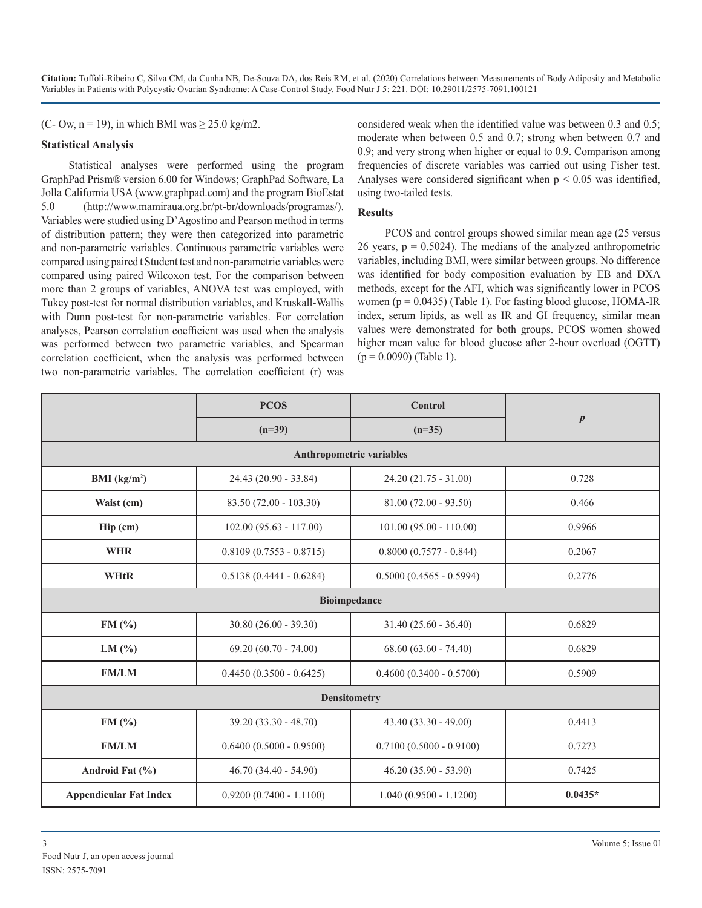(C- Ow,  $n = 19$ ), in which BMI was  $\geq 25.0$  kg/m2.

#### **Statistical Analysis**

Statistical analyses were performed using the program GraphPad Prism® version 6.00 for Windows; GraphPad Software, La Jolla California USA ([www.graphpad.com](file:///C:/Users/B%20Phaneendra%20Reddy/Desktop/../../maira/Downloads/www.graphpad.com)) and the program BioEstat 5.0 [\(http://www.mamiraua.org.br/pt-br/downloads/programas/](http://www.mamiraua.org.br/pt-br/downloads/programas/)). Variables were studied using D'Agostino and Pearson method in terms of distribution pattern; they were then categorized into parametric and non-parametric variables. Continuous parametric variables were compared using paired t Student test and non-parametric variables were compared using paired Wilcoxon test. For the comparison between more than 2 groups of variables, ANOVA test was employed, with Tukey post-test for normal distribution variables, and Kruskall-Wallis with Dunn post-test for non-parametric variables. For correlation analyses, Pearson correlation coefficient was used when the analysis was performed between two parametric variables, and Spearman correlation coefficient, when the analysis was performed between two non-parametric variables. The correlation coefficient (r) was considered weak when the identified value was between 0.3 and 0.5; moderate when between 0.5 and 0.7; strong when between 0.7 and 0.9; and very strong when higher or equal to 0.9. Comparison among frequencies of discrete variables was carried out using Fisher test. Analyses were considered significant when  $p \leq 0.05$  was identified, using two-tailed tests.

#### **Results**

PCOS and control groups showed similar mean age (25 versus 26 years,  $p = 0.5024$ ). The medians of the analyzed anthropometric variables, including BMI, were similar between groups. No difference was identified for body composition evaluation by EB and DXA methods, except for the AFI, which was significantly lower in PCOS women ( $p = 0.0435$ ) (Table 1). For fasting blood glucose, HOMA-IR index, serum lipids, as well as IR and GI frequency, similar mean values were demonstrated for both groups. PCOS women showed higher mean value for blood glucose after 2-hour overload (OGTT)  $(p = 0.0090)$  (Table 1).

|                                                                      | <b>PCOS</b>                | <b>Control</b>             | $\boldsymbol{p}$ |  |  |  |  |  |  |
|----------------------------------------------------------------------|----------------------------|----------------------------|------------------|--|--|--|--|--|--|
|                                                                      | $(n=39)$                   | $(n=35)$                   |                  |  |  |  |  |  |  |
| Anthropometric variables                                             |                            |                            |                  |  |  |  |  |  |  |
| BMI $(kg/m2)$                                                        | 24.43 (20.90 - 33.84)      | $24.20(21.75 - 31.00)$     | 0.728            |  |  |  |  |  |  |
| Waist (cm)                                                           | $83.50(72.00 - 103.30)$    | $81.00(72.00 - 93.50)$     | 0.466            |  |  |  |  |  |  |
| Hip (cm)                                                             | $102.00 (95.63 - 117.00)$  | $101.00 (95.00 - 110.00)$  | 0.9966           |  |  |  |  |  |  |
| <b>WHR</b>                                                           | $0.8109(0.7553 - 0.8715)$  | $0.8000(0.7577 - 0.844)$   | 0.2067           |  |  |  |  |  |  |
| <b>WHtR</b>                                                          | $0.5138(0.4441 - 0.6284)$  | $0.5000 (0.4565 - 0.5994)$ | 0.2776           |  |  |  |  |  |  |
| <b>Bioimpedance</b>                                                  |                            |                            |                  |  |  |  |  |  |  |
| 0.6829<br>FM(%)<br>$30.80 (26.00 - 39.30)$<br>$31.40(25.60 - 36.40)$ |                            |                            |                  |  |  |  |  |  |  |
| LM $(%)$                                                             | $69.20 (60.70 - 74.00)$    | $68.60 (63.60 - 74.40)$    | 0.6829           |  |  |  |  |  |  |
| <b>FM/LM</b>                                                         | $0.4450(0.3500 - 0.6425)$  |                            | 0.5909           |  |  |  |  |  |  |
| <b>Densitometry</b>                                                  |                            |                            |                  |  |  |  |  |  |  |
| FM(%)                                                                | 39.20 (33.30 - 48.70)      | $43.40(33.30 - 49.00)$     | 0.4413           |  |  |  |  |  |  |
| <b>FM/LM</b>                                                         | $0.6400 (0.5000 - 0.9500)$ | $0.7100 (0.5000 - 0.9100)$ | 0.7273           |  |  |  |  |  |  |
| Android Fat (%)                                                      | $46.70(34.40 - 54.90)$     | $46.20(35.90 - 53.90)$     | 0.7425           |  |  |  |  |  |  |
| <b>Appendicular Fat Index</b>                                        | $0.9200(0.7400 - 1.1100)$  | $1.040(0.9500 - 1.1200)$   | $0.0435*$        |  |  |  |  |  |  |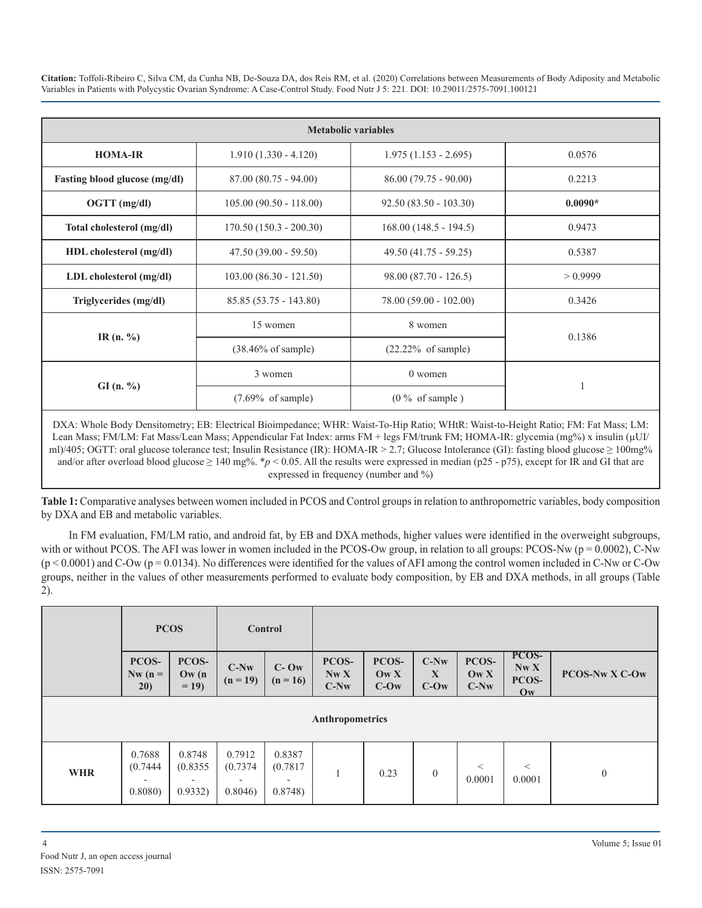| <b>Metabolic variables</b>           |                               |                               |           |  |  |  |  |  |
|--------------------------------------|-------------------------------|-------------------------------|-----------|--|--|--|--|--|
| <b>HOMA-IR</b>                       | $1.910(1.330 - 4.120)$        | $1.975(1.153 - 2.695)$        | 0.0576    |  |  |  |  |  |
| <b>Fasting blood glucose (mg/dl)</b> | $87.00(80.75 - 94.00)$        | $86.00(79.75 - 90.00)$        | 0.2213    |  |  |  |  |  |
| $OGTT$ (mg/dl)                       | $105.00(90.50 - 118.00)$      | $92.50(83.50 - 103.30)$       | $0.0090*$ |  |  |  |  |  |
| Total cholesterol (mg/dl)            | $170.50(150.3 - 200.30)$      | $168.00(148.5 - 194.5)$       | 0.9473    |  |  |  |  |  |
| HDL cholesterol (mg/dl)              | $47.50(39.00 - 59.50)$        | $49.50(41.75 - 59.25)$        | 0.5387    |  |  |  |  |  |
| $LDL$ cholesterol $(mg/dl)$          | $103.00 (86.30 - 121.50)$     | $98.00 (87.70 - 126.5)$       | > 0.9999  |  |  |  |  |  |
| Triglycerides (mg/dl)                | $85.85(53.75 - 143.80)$       | $78.00(59.00 - 102.00)$       | 0.3426    |  |  |  |  |  |
| IR $(n. %$                           | 15 women                      | 8 women                       | 0.1386    |  |  |  |  |  |
|                                      | $(38.46\% \text{ of sample})$ | $(22.22\% \text{ of sample})$ |           |  |  |  |  |  |
| GI(n. %)                             | 3 women                       | $0$ women                     |           |  |  |  |  |  |
|                                      | $(7.69\% \text{ of sample})$  | $(0\% \text{ of sample})$     |           |  |  |  |  |  |

DXA: Whole Body Densitometry; EB: Electrical Bioimpedance; WHR: Waist-To-Hip Ratio; WHtR: Waist-to-Height Ratio; FM: Fat Mass; LM: Lean Mass; FM/LM: Fat Mass/Lean Mass; Appendicular Fat Index: arms FM + legs FM/trunk FM; HOMA-IR: glycemia (mg%) x insulin (µUI/ ml)/405; OGTT: oral glucose tolerance test; Insulin Resistance (IR): HOMA-IR > 2.7; Glucose Intolerance (GI): fasting blood glucose ≥ 100mg% and/or after overload blood glucose  $\geq 140$  mg%. \**p* < 0.05. All the results were expressed in median (p25 - p75), except for IR and GI that are expressed in frequency (number and %)

**Table 1:** Comparative analyses between women included in PCOS and Control groups in relation to anthropometric variables, body composition by DXA and EB and metabolic variables.

In FM evaluation, FM/LM ratio, and android fat, by EB and DXA methods, higher values were identified in the overweight subgroups, with or without PCOS. The AFI was lower in women included in the PCOS-Ow group, in relation to all groups: PCOS-Nw ( $p = 0.0002$ ), C-Nw  $(p \le 0.0001)$  and C-Ow ( $p = 0.0134$ ). No differences were identified for the values of AFI among the control women included in C-Nw or C-Ow groups, neither in the values of other measurements performed to evaluate body composition, by EB and DXA methods, in all groups (Table 2).

|                 | <b>PCOS</b>                  |                                                           | Control                      |                              |                         |                                             |                                 |                                             |                                                 |                       |
|-----------------|------------------------------|-----------------------------------------------------------|------------------------------|------------------------------|-------------------------|---------------------------------------------|---------------------------------|---------------------------------------------|-------------------------------------------------|-----------------------|
|                 | PCOS-<br>$Nw(n =$<br>20)     | PCOS-<br>$\mathbf{O}\mathbf{w}$ (n<br>$= 19$              | $C-Nw$<br>$(n = 19)$         | $C-$ Ow<br>$(n = 16)$        | PCOS-<br>Nw X<br>$C-Nw$ | PCOS-<br>$\mathbf{O}(\mathbf{W})$<br>$C-Ow$ | $C-Nw$<br>$\mathbf X$<br>$C-Ow$ | PCOS-<br>$\mathbf{O}(\mathbf{W})$<br>$C-Nw$ | PCOS-<br>NwX<br>PCOS-<br>$\mathbf{O}\mathbf{w}$ | <b>PCOS-Nw X C-Ow</b> |
| Anthropometrics |                              |                                                           |                              |                              |                         |                                             |                                 |                                             |                                                 |                       |
| <b>WHR</b>      | 0.7688<br>(0.7444)<br>0.8080 | 0.8748<br>(0.8355)<br>$\overline{\phantom{a}}$<br>0.9332) | 0.7912<br>(0.7374)<br>0.8046 | 0.8387<br>(0.7817)<br>0.8748 |                         | 0.23                                        | $\mathbf{0}$                    | $\,<\,$<br>0.0001                           | $\,<$<br>0.0001                                 | $\mathbf{0}$          |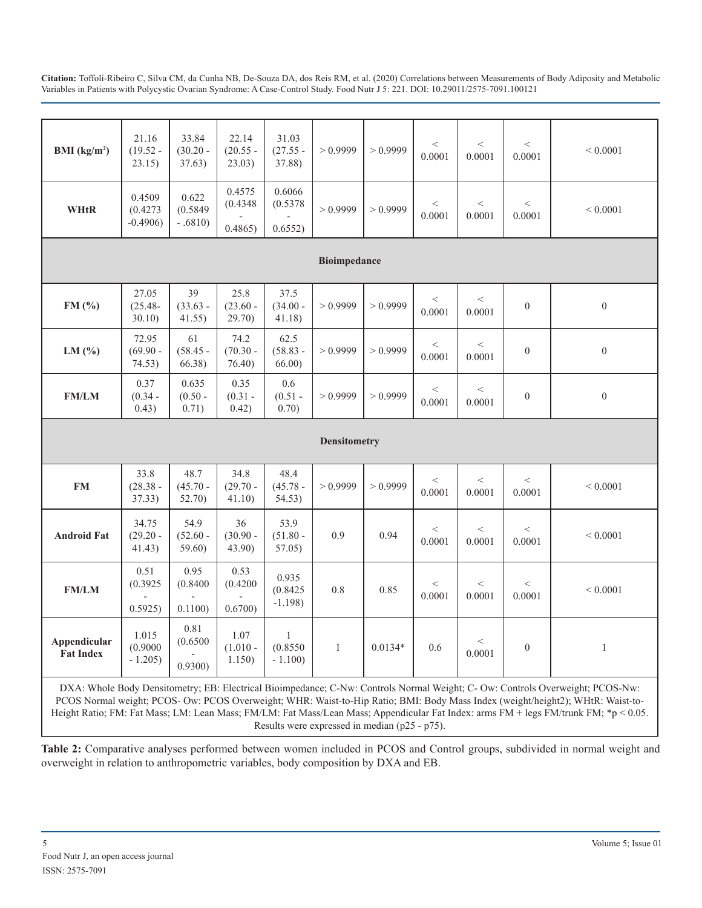| BMI $(kg/m2)$                                                                                                                 | 21.16<br>$(19.52 -$<br>23.15)   | 33.84<br>$(30.20 -$<br>37.63)  | 22.14<br>$(20.55 -$<br>23.03) | 31.03<br>$(27.55 -$<br>37.88)        | > 0.9999            | > 0.9999  | $<\,$<br>0.0001 | $\,<\,$<br>0.0001 | $<\,$<br>0.0001  | ${}< 0.0001$     |
|-------------------------------------------------------------------------------------------------------------------------------|---------------------------------|--------------------------------|-------------------------------|--------------------------------------|---------------------|-----------|-----------------|-------------------|------------------|------------------|
| <b>WHtR</b>                                                                                                                   | 0.4509<br>(0.4273)<br>$-0.4906$ | 0.622<br>(0.5849)<br>$-.6810)$ | 0.4575<br>(0.4348)<br>0.4865) | 0.6066<br>(0.5378)<br>0.6552)        | > 0.9999            | > 0.9999  | $\,<$<br>0.0001 | $\,<$<br>0.0001   | $<\,$<br>0.0001  | ${}< 0.0001$     |
| <b>Bioimpedance</b>                                                                                                           |                                 |                                |                               |                                      |                     |           |                 |                   |                  |                  |
| FM(%)                                                                                                                         | 27.05<br>$(25.48 -$<br>30.10    | 39<br>$(33.63 -$<br>41.55)     | 25.8<br>$(23.60 -$<br>29.70)  | 37.5<br>$(34.00 -$<br>41.18)         | > 0.9999            | > 0.9999  | $\,<$<br>0.0001 | $\,<\,$<br>0.0001 | $\boldsymbol{0}$ | $\boldsymbol{0}$ |
| LM $(\% )$                                                                                                                    | 72.95<br>$(69.90 -$<br>74.53)   | 61<br>$(58.45 -$<br>66.38      | 74.2<br>$(70.30 -$<br>76.40)  | 62.5<br>$(58.83 -$<br>66.00          | > 0.9999            | > 0.9999  | $\,<$<br>0.0001 | $\,<\,$<br>0.0001 | $\boldsymbol{0}$ | $\boldsymbol{0}$ |
| <b>FM/LM</b>                                                                                                                  | 0.37<br>$(0.34 -$<br>0.43)      | 0.635<br>$(0.50 -$<br>0.71)    | 0.35<br>$(0.31 -$<br>0.42)    | 0.6<br>$(0.51 -$<br>0.70)            | > 0.9999            | > 0.9999  | $\,<$<br>0.0001 | $\,<$<br>0.0001   | $\boldsymbol{0}$ | $\boldsymbol{0}$ |
|                                                                                                                               |                                 |                                |                               |                                      | <b>Densitometry</b> |           |                 |                   |                  |                  |
| <b>FM</b>                                                                                                                     | 33.8<br>$(28.38 -$<br>37.33)    | 48.7<br>$(45.70 -$<br>52.70)   | 34.8<br>$(29.70 -$<br>41.10)  | 48.4<br>$(45.78 -$<br>54.53)         | > 0.9999            | > 0.9999  | $\,<$<br>0.0001 | $\,<\,$<br>0.0001 | $\,<$<br>0.0001  | ${}< 0.0001$     |
| <b>Android Fat</b>                                                                                                            | 34.75<br>$(29.20 -$<br>41.43)   | 54.9<br>$(52.60 -$<br>59.60)   | 36<br>$(30.90 -$<br>43.90)    | 53.9<br>$(51.80 -$<br>57.05)         | 0.9                 | 0.94      | $<\,$<br>0.0001 | $\,<\,$<br>0.0001 | $<\,$<br>0.0001  | ${}< 0.0001$     |
| <b>FM/LM</b>                                                                                                                  | 0.51<br>(0.3925)<br>0.5925      | 0.95<br>(0.8400)<br>0.1100     | 0.53<br>(0.4200)<br>0.6700    | 0.935<br>(0.8425)<br>$-1.198$ )      | 0.8                 | 0.85      | $\,<$<br>0.0001 | $\lt$<br>0.0001   | $\,<$<br>0.0001  | ${}< 0.0001$     |
| Appendicular<br><b>Fat Index</b>                                                                                              | 1.015<br>(0.9000)<br>$-1.205$   | 0.81<br>(0.6500)<br>0.9300     | 1.07<br>$(1.010 -$<br>1.150)  | $\mathbf{1}$<br>(0.8550)<br>$-1.100$ | $\mathbf{1}$        | $0.0134*$ | 0.6             | $<\,$<br>0.0001   | $\boldsymbol{0}$ | $\,1$            |
| DXA: Whole Body Densitometry: EB: Electrical Bioimpedance: C-Nw: Controls Normal Weight: C- Ow: Controls Overweight: PCOS-Nw: |                                 |                                |                               |                                      |                     |           |                 |                   |                  |                  |

DXA: Whole Body Densitometry; EB: Electrical Bioimpedance; C-Nw: Controls Normal Weight; C- Ow: Controls Overweight; PCOS-Nw: PCOS Normal weight; PCOS- Ow: PCOS Overweight; WHR: Waist-to-Hip Ratio; BMI: Body Mass Index (weight/height2); WHtR: Waist-to-Height Ratio; FM: Fat Mass; LM: Lean Mass; FM/LM: Fat Mass/Lean Mass; Appendicular Fat Index: arms FM + legs FM/trunk FM; \*p < 0.05. Results were expressed in median (p25 - p75).

**Table 2:** Comparative analyses performed between women included in PCOS and Control groups, subdivided in normal weight and overweight in relation to anthropometric variables, body composition by DXA and EB.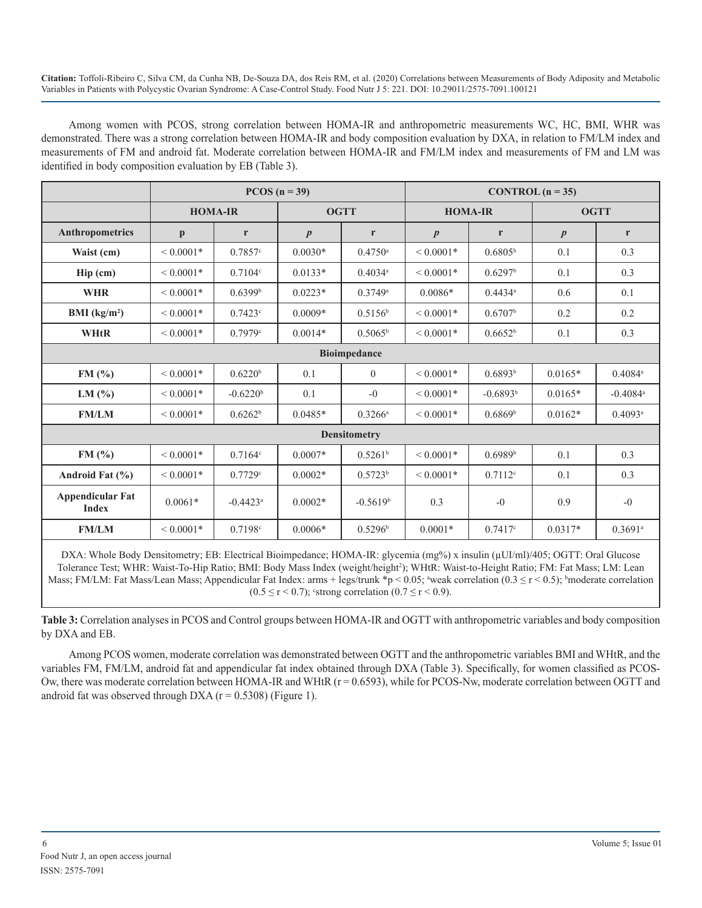Among women with PCOS, strong correlation between HOMA-IR and anthropometric measurements WC, HC, BMI, WHR was demonstrated. There was a strong correlation between HOMA-IR and body composition evaluation by DXA, in relation to FM/LM index and measurements of FM and android fat. Moderate correlation between HOMA-IR and FM/LM index and measurements of FM and LM was identified in body composition evaluation by EB (Table 3).

|                                         | $PCOS (n = 39)$ |                        |                       |                       | CONTROL $(n = 35)$ |                       |                  |                        |  |
|-----------------------------------------|-----------------|------------------------|-----------------------|-----------------------|--------------------|-----------------------|------------------|------------------------|--|
|                                         | <b>HOMA-IR</b>  |                        | <b>OGTT</b>           |                       | <b>HOMA-IR</b>     |                       | <b>OGTT</b>      |                        |  |
| Anthropometrics                         | $\mathbf{p}$    | r                      | $\boldsymbol{p}$<br>r |                       | $\boldsymbol{p}$   | r                     | $\boldsymbol{p}$ | r                      |  |
| Waist (cm)                              | ${}< 0.0001*$   | 0.7857c                | $0.0030*$             | $0.4750$ <sup>a</sup> | ${}< 0.0001*$      | 0.6805 <sup>b</sup>   | 0.1              | 0.3                    |  |
| $\text{Hip (cm)}$                       | $< 0.0001*$     | $0.7104^{\circ}$       | $0.0133*$             | $0.4034$ <sup>a</sup> | ${}< 0.0001*$      | 0.6297 <sup>b</sup>   | 0.1              | 0.3                    |  |
| <b>WHR</b>                              | $< 0.0001*$     | 0.6399 <sup>b</sup>    | $0.0223*$             | 0.3749a               | $0.0086*$          | $0.4434$ <sup>a</sup> | 0.6              | 0.1                    |  |
| BMI $(kg/m2)$                           | $< 0.0001*$     | 0.7423c                | $0.0009*$             | $0.5156^{\rm b}$      | ${}< 0.0001*$      | 0.6707 <sup>b</sup>   | 0.2              | 0.2                    |  |
| <b>WHtR</b>                             | $< 0.0001*$     | 0.7979c                | $0.0014*$             | $0.5065^{\rm b}$      | ${}< 0.0001*$      | 0.6652 <sup>b</sup>   | 0.1              | 0.3                    |  |
|                                         |                 |                        |                       | <b>Bioimpedance</b>   |                    |                       |                  |                        |  |
| FM(%)                                   | $< 0.0001*$     | 0.6220 <sup>b</sup>    | 0.1                   | $\overline{0}$        | ${}< 0.0001*$      | 0.6893 <sup>b</sup>   | $0.0165*$        | $0.4084^a$             |  |
| LM(%)                                   | ${}< 0.0001*$   | $-0.6220b$             | 0.1                   | $-0$                  | ${}< 0.0001*$      | $-0.6893b$            | $0.0165*$        | $-0.4084$ <sup>a</sup> |  |
| <b>FM/LM</b>                            | $< 0.0001*$     | 0.6262 <sup>b</sup>    | $0.0485*$             | $0.3266^{\rm a}$      | ${}< 0.0001*$      | 0.6869 <sup>b</sup>   | $0.0162*$        | $0.4093$ <sup>a</sup>  |  |
|                                         |                 |                        |                       | <b>Densitometry</b>   |                    |                       |                  |                        |  |
| FM(%)                                   | $< 0.0001*$     | $0.7164^{\circ}$       | $0.0007*$             | 0.5261 <sup>b</sup>   | $< 0.0001*$        | 0.6989 <sup>b</sup>   | 0.1              | 0.3                    |  |
| Android Fat $(\% )$                     | ${}< 0.0001*$   | 0.7729c                | $0.0002*$             | 0.5723 <sup>b</sup>   | ${}< 0.0001*$      | 0.7112c               | 0.1              | 0.3                    |  |
| <b>Appendicular Fat</b><br><b>Index</b> | $0.0061*$       | $-0.4423$ <sup>a</sup> | $0.0002*$             | $-0.5619b$            | 0.3                | $-0$                  | 0.9              | $-0$                   |  |
| <b>FM/LM</b>                            | ${}< 0.0001*$   | 0.7198c                | $0.0006*$             | 0.5296 <sup>b</sup>   | $0.0001*$          | 0.7417c               | $0.0317*$        | $0.3691$ <sup>a</sup>  |  |

DXA: Whole Body Densitometry; EB: Electrical Bioimpedance; HOMA-IR: glycemia (mg%) x insulin (µUI/ml)/405; OGTT: Oral Glucose Tolerance Test; WHR: Waist-To-Hip Ratio; BMI: Body Mass Index (weight/height<sup>2</sup>); WHtR: Waist-to-Height Ratio; FM: Fat Mass; LM: Lean Mass; FM/LM: Fat Mass/Lean Mass; Appendicular Fat Index: arms + legs/trunk  $np < 0.05$ ; "weak correlation  $(0.3 \le r < 0.5)$ ; "moderate correlation  $(0.5 \le r < 0.7)$ ; strong correlation  $(0.7 \le r < 0.9)$ .

**Table 3:** Correlation analyses in PCOS and Control groups between HOMA-IR and OGTT with anthropometric variables and body composition by DXA and EB.

Among PCOS women, moderate correlation was demonstrated between OGTT and the anthropometric variables BMI and WHtR, and the variables FM, FM/LM, android fat and appendicular fat index obtained through DXA (Table 3). Specifically, for women classified as PCOS-Ow, there was moderate correlation between HOMA-IR and WHtR  $(r = 0.6593)$ , while for PCOS-Nw, moderate correlation between OGTT and android fat was observed through DXA ( $r = 0.5308$ ) (Figure 1).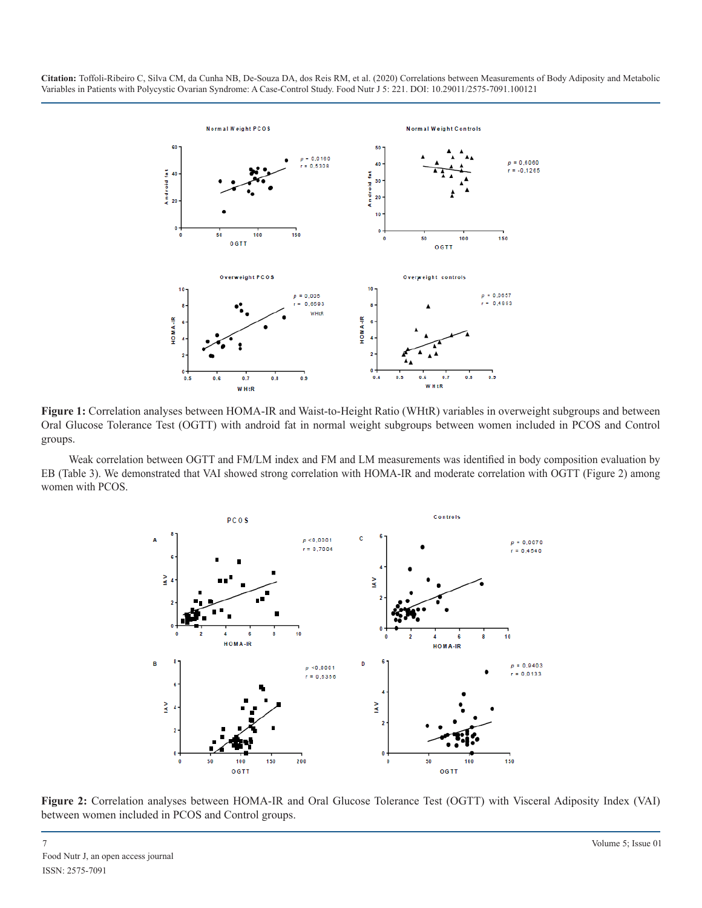

**Figure 1:** Correlation analyses between HOMA-IR and Waist-to-Height Ratio (WHtR) variables in overweight subgroups and between Oral Glucose Tolerance Test (OGTT) with android fat in normal weight subgroups between women included in PCOS and Control groups.

Weak correlation between OGTT and FM/LM index and FM and LM measurements was identified in body composition evaluation by EB (Table 3). We demonstrated that VAI showed strong correlation with HOMA-IR and moderate correlation with OGTT (Figure 2) among women with PCOS.



**Figure 2:** Correlation analyses between HOMA-IR and Oral Glucose Tolerance Test (OGTT) with Visceral Adiposity Index (VAI) between women included in PCOS and Control groups.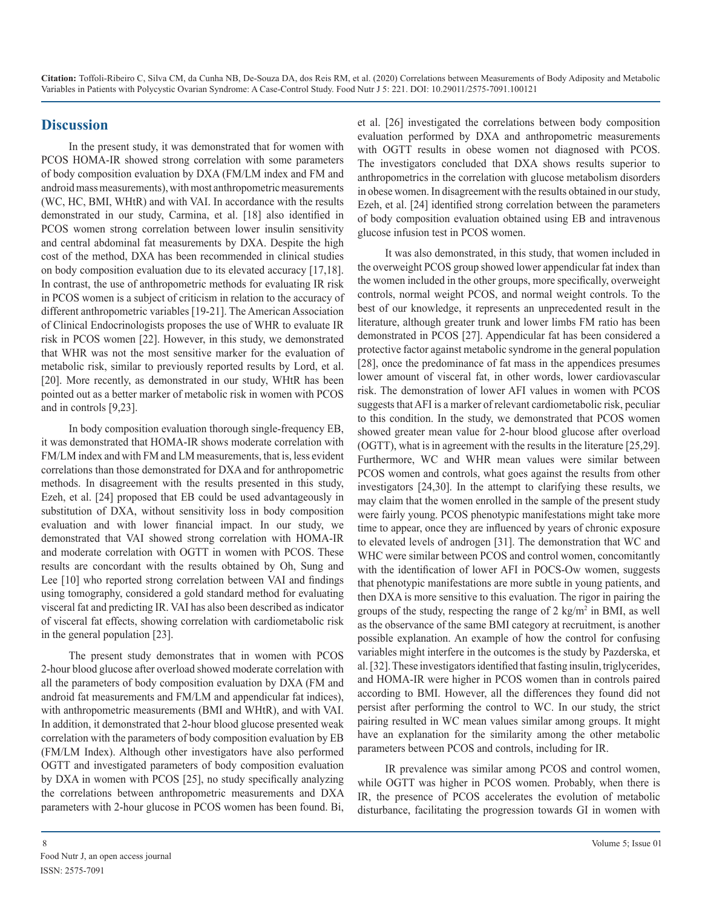# **Discussion**

In the present study, it was demonstrated that for women with PCOS HOMA-IR showed strong correlation with some parameters of body composition evaluation by DXA (FM/LM index and FM and android mass measurements), with most anthropometric measurements (WC, HC, BMI, WHtR) and with VAI. In accordance with the results demonstrated in our study, Carmina, et al. [18] also identified in PCOS women strong correlation between lower insulin sensitivity and central abdominal fat measurements by DXA. Despite the high cost of the method, DXA has been recommended in clinical studies on body composition evaluation due to its elevated accuracy [17,18]. In contrast, the use of anthropometric methods for evaluating IR risk in PCOS women is a subject of criticism in relation to the accuracy of different anthropometric variables [19-21]. The American Association of Clinical Endocrinologists proposes the use of WHR to evaluate IR risk in PCOS women [22]. However, in this study, we demonstrated that WHR was not the most sensitive marker for the evaluation of metabolic risk, similar to previously reported results by Lord, et al. [20]. More recently, as demonstrated in our study, WHtR has been pointed out as a better marker of metabolic risk in women with PCOS and in controls [9,23].

In body composition evaluation thorough single-frequency EB, it was demonstrated that HOMA-IR shows moderate correlation with FM/LM index and with FM and LM measurements, that is, less evident correlations than those demonstrated for DXA and for anthropometric methods. In disagreement with the results presented in this study, Ezeh, et al. [24] proposed that EB could be used advantageously in substitution of DXA, without sensitivity loss in body composition evaluation and with lower financial impact. In our study, we demonstrated that VAI showed strong correlation with HOMA-IR and moderate correlation with OGTT in women with PCOS. These results are concordant with the results obtained by Oh, Sung and Lee [10] who reported strong correlation between VAI and findings using tomography, considered a gold standard method for evaluating visceral fat and predicting IR. VAI has also been described as indicator of visceral fat effects, showing correlation with cardiometabolic risk in the general population [23].

The present study demonstrates that in women with PCOS 2-hour blood glucose after overload showed moderate correlation with all the parameters of body composition evaluation by DXA (FM and android fat measurements and FM/LM and appendicular fat indices), with anthropometric measurements (BMI and WHtR), and with VAI. In addition, it demonstrated that 2-hour blood glucose presented weak correlation with the parameters of body composition evaluation by EB (FM/LM Index). Although other investigators have also performed OGTT and investigated parameters of body composition evaluation by DXA in women with PCOS [25], no study specifically analyzing the correlations between anthropometric measurements and DXA parameters with 2-hour glucose in PCOS women has been found. Bi,

et al. [26] investigated the correlations between body composition evaluation performed by DXA and anthropometric measurements with OGTT results in obese women not diagnosed with PCOS. The investigators concluded that DXA shows results superior to anthropometrics in the correlation with glucose metabolism disorders in obese women. In disagreement with the results obtained in our study, Ezeh, et al. [24] identified strong correlation between the parameters of body composition evaluation obtained using EB and intravenous glucose infusion test in PCOS women.

It was also demonstrated, in this study, that women included in the overweight PCOS group showed lower appendicular fat index than the women included in the other groups, more specifically, overweight controls, normal weight PCOS, and normal weight controls. To the best of our knowledge, it represents an unprecedented result in the literature, although greater trunk and lower limbs FM ratio has been demonstrated in PCOS [27]. Appendicular fat has been considered a protective factor against metabolic syndrome in the general population [28], once the predominance of fat mass in the appendices presumes lower amount of visceral fat, in other words, lower cardiovascular risk. The demonstration of lower AFI values in women with PCOS suggests that AFI is a marker of relevant cardiometabolic risk, peculiar to this condition. In the study, we demonstrated that PCOS women showed greater mean value for 2-hour blood glucose after overload (OGTT), what is in agreement with the results in the literature [25,29]. Furthermore, WC and WHR mean values were similar between PCOS women and controls, what goes against the results from other investigators [24,30]. In the attempt to clarifying these results, we may claim that the women enrolled in the sample of the present study were fairly young. PCOS phenotypic manifestations might take more time to appear, once they are influenced by years of chronic exposure to elevated levels of androgen [31]. The demonstration that WC and WHC were similar between PCOS and control women, concomitantly with the identification of lower AFI in POCS-Ow women, suggests that phenotypic manifestations are more subtle in young patients, and then DXA is more sensitive to this evaluation. The rigor in pairing the groups of the study, respecting the range of  $2 \text{ kg/m}^2$  in BMI, as well as the observance of the same BMI category at recruitment, is another possible explanation. An example of how the control for confusing variables might interfere in the outcomes is the study by Pazderska, et al. [32]. These investigators identified that fasting insulin, triglycerides, and HOMA-IR were higher in PCOS women than in controls paired according to BMI. However, all the differences they found did not persist after performing the control to WC. In our study, the strict pairing resulted in WC mean values similar among groups. It might have an explanation for the similarity among the other metabolic parameters between PCOS and controls, including for IR.

IR prevalence was similar among PCOS and control women, while OGTT was higher in PCOS women. Probably, when there is IR, the presence of PCOS accelerates the evolution of metabolic disturbance, facilitating the progression towards GI in women with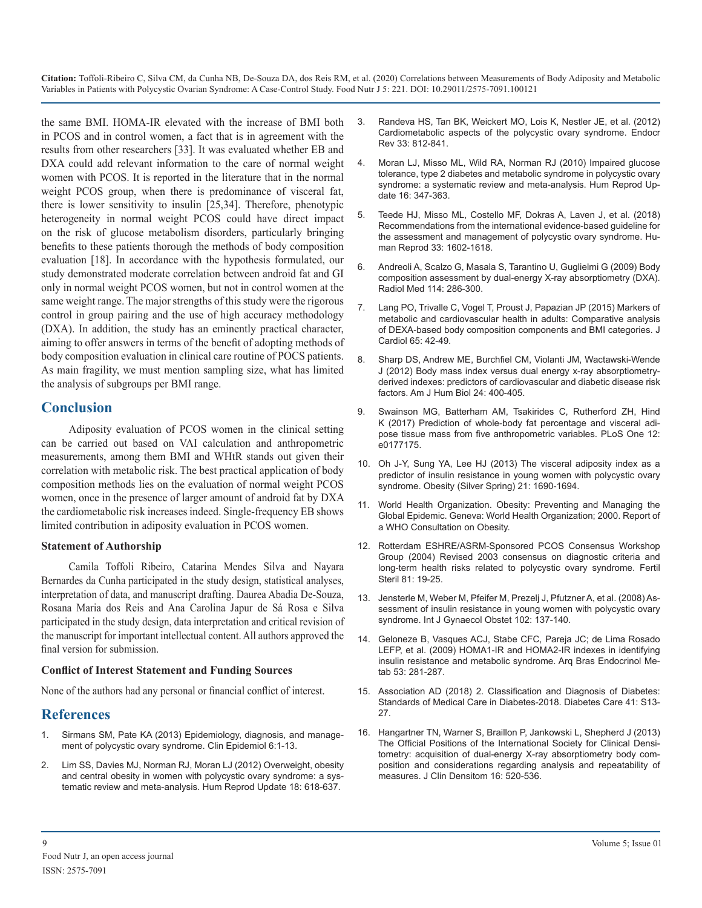the same BMI. HOMA-IR elevated with the increase of BMI both in PCOS and in control women, a fact that is in agreement with the results from other researchers [33]. It was evaluated whether EB and DXA could add relevant information to the care of normal weight women with PCOS. It is reported in the literature that in the normal weight PCOS group, when there is predominance of visceral fat, there is lower sensitivity to insulin [25,34]. Therefore, phenotypic heterogeneity in normal weight PCOS could have direct impact on the risk of glucose metabolism disorders, particularly bringing benefits to these patients thorough the methods of body composition evaluation [18]. In accordance with the hypothesis formulated, our study demonstrated moderate correlation between android fat and GI only in normal weight PCOS women, but not in control women at the same weight range. The major strengths of this study were the rigorous control in group pairing and the use of high accuracy methodology (DXA). In addition, the study has an eminently practical character, aiming to offer answers in terms of the benefit of adopting methods of body composition evaluation in clinical care routine of POCS patients. [As main fragility, we must mention sampling size, what has limited](https://onlinelibrary.wiley.com/doi/abs/10.1002/ajhb.22221)  the analysis of subgroups per BMI range.

## **Conclusion**

Adiposity evaluation of PCOS women in the clinical setting can be carried out based on VAI calculation and anthropometric measurements, among them BMI and WHtR stands out given their correlation with metabolic risk. The best practical application of body composition methods lies on the evaluation of normal weight PCOS women, once in the presence of larger amount of android fat by DXA the cardiometabolic risk increases indeed. Single-frequency EB shows limited contribution in adiposity evaluation in PCOS women.

#### **Statement of Authorship**

Camila Toffoli Ribeiro, Catarina Mendes Silva and Nayara Bernardes da Cunha participated in the study design, statistical analyses, interpretation of data, and manuscript drafting. Daurea Abadia De-Souza, [Rosana Maria dos Reis and Ana Carolina Japur de Sá Rosa e Silva](https://obgyn.onlinelibrary.wiley.com/doi/abs/10.1016/j.ijgo.2008.03.017)  participated in the study design, data interpretation and critical revision of the manuscript for important intellectual content. All authors approved the final version for submission.

#### **Conflict of Interest Statement and Funding Sources**

None of the authors had any personal or financial conflict of interest.

# **References**

- 1. [Sirmans SM, Pate KA \(2013\) Epidemiology, diagnosis, and manage](https://www.dovepress.com/epidemiology-diagnosis-and-management-of-polycystic-ovary-syndrome-peer-reviewed-fulltext-article-CLEP)[ment of polycystic ovary syndrome. Clin Epidemiol 6:1-13.](https://www.dovepress.com/epidemiology-diagnosis-and-management-of-polycystic-ovary-syndrome-peer-reviewed-fulltext-article-CLEP)
- 2. [Lim SS, Davies MJ, Norman RJ, Moran LJ \(2012\) Overweight, obesity](https://academic.oup.com/humupd/article/18/6/618/628147)  [and central obesity in women with polycystic ovary syndrome: a sys](https://academic.oup.com/humupd/article/18/6/618/628147)[tematic review and meta-analysis. Hum Reprod Update 18: 618-637.](https://academic.oup.com/humupd/article/18/6/618/628147)
- 3. [Randeva HS, Tan BK, Weickert MO, Lois K, Nestler JE, et al. \(2012\)](https://academic.oup.com/edrv/article/33/5/812/2354900)  [Cardiometabolic aspects of the polycystic ovary syndrome. Endocr](https://academic.oup.com/edrv/article/33/5/812/2354900)  [Rev 33: 812-841.](https://academic.oup.com/edrv/article/33/5/812/2354900)
- 4. [Moran LJ, Misso ML, Wild RA, Norman RJ \(2010\) Impaired glucose](https://academic.oup.com/humupd/article/16/4/347/802669)  [tolerance, type 2 diabetes and metabolic syndrome in polycystic ovary](https://academic.oup.com/humupd/article/16/4/347/802669)  [syndrome: a systematic review and meta-analysis. Hum Reprod Up](https://academic.oup.com/humupd/article/16/4/347/802669)[date 16: 347-363.](https://academic.oup.com/humupd/article/16/4/347/802669)
- 5. [Teede HJ, Misso ML, Costello MF, Dokras A, Laven J, et al. \(2018\)](https://academic.oup.com/humrep/article/33/9/1602/5056069)  [Recommendations from the international evidence-based guideline for](https://academic.oup.com/humrep/article/33/9/1602/5056069)  [the assessment and management of polycystic ovary syndrome. Hu](https://academic.oup.com/humrep/article/33/9/1602/5056069)[man Reprod 33: 1602-1618.](https://academic.oup.com/humrep/article/33/9/1602/5056069)
- 6. [Andreoli A, Scalzo G, Masala S, Tarantino U, Guglielmi G \(2009\) Body](https://link.springer.com/article/10.1007/s11547-009-0369-7)  [composition assessment by dual-energy X-ray absorptiometry \(DXA\).](https://link.springer.com/article/10.1007/s11547-009-0369-7) [Radiol Med 114: 286-300.](https://link.springer.com/article/10.1007/s11547-009-0369-7)
- 7. [Lang PO, Trivalle C, Vogel T, Proust J, Papazian JP \(2015\) Markers of](https://www.journal-of-cardiology.com/article/S0914-5087(14)00105-1/fulltext)  [metabolic and cardiovascular health in adults: Comparative analysis](https://www.journal-of-cardiology.com/article/S0914-5087(14)00105-1/fulltext)  [of DEXA-based body composition components and BMI categories. J](https://www.journal-of-cardiology.com/article/S0914-5087(14)00105-1/fulltext) [Cardiol 65: 42-49.](https://www.journal-of-cardiology.com/article/S0914-5087(14)00105-1/fulltext)
- 8. [Sharp DS, Andrew ME, Burchfiel CM, Violanti JM, Wactawski-Wende](https://onlinelibrary.wiley.com/doi/abs/10.1002/ajhb.22221) J (2012) Body mass index versus dual energy x-ray absorptiometry[derived indexes: predictors of cardiovascular and diabetic disease risk](https://onlinelibrary.wiley.com/doi/abs/10.1002/ajhb.22221)  [factors. Am J Hum Biol 24: 400-405.](https://onlinelibrary.wiley.com/doi/abs/10.1002/ajhb.22221)
- 9. [Swainson MG, Batterham AM, Tsakirides C, Rutherford ZH, Hind](https://journals.plos.org/plosone/article?id=10.1371/journal.pone.0177175)  [K \(2017\) Prediction of whole-body fat percentage and visceral adi](https://journals.plos.org/plosone/article?id=10.1371/journal.pone.0177175)[pose tissue mass from five anthropometric variables. PLoS One 12:](https://journals.plos.org/plosone/article?id=10.1371/journal.pone.0177175)  [e0177175.](https://journals.plos.org/plosone/article?id=10.1371/journal.pone.0177175)
- 10. [Oh J-Y, Sung YA, Lee HJ \(2013\) The visceral adiposity index as a](https://onlinelibrary.wiley.com/doi/full/10.1002/oby.20096)  [predictor of insulin resistance in young women with polycystic ovary](https://onlinelibrary.wiley.com/doi/full/10.1002/oby.20096)  [syndrome. Obesity \(Silver Spring\) 21: 1690-1694.](https://onlinelibrary.wiley.com/doi/full/10.1002/oby.20096)
- 11. [World Health Organization. Obesity: Preventing and Managing the](https://www.who.int/nutrition/publications/obesity/WHO_TRS_894/en/)  [Global Epidemic. Geneva: World Health Organization; 2000. Report of](https://www.who.int/nutrition/publications/obesity/WHO_TRS_894/en/)  [a WHO Consultation on Obesity.](https://www.who.int/nutrition/publications/obesity/WHO_TRS_894/en/)
- 12. [Rotterdam ESHRE/ASRM-Sponsored PCOS Consensus Workshop](https://www.fertstert.org/article/S0015-0282(03)02853-X/fulltext) [Group \(2004\) Revised 2003 consensus on diagnostic criteria and](https://www.fertstert.org/article/S0015-0282(03)02853-X/fulltext)  [long-term health risks related to polycystic ovary syndrome. Fertil](https://www.fertstert.org/article/S0015-0282(03)02853-X/fulltext)  [Steril 81: 19-25.](https://www.fertstert.org/article/S0015-0282(03)02853-X/fulltext)
- 13. [Jensterle M, Weber M, Pfeifer M, Prezelj J, Pfutzner A, et al. \(2008\)](https://obgyn.onlinelibrary.wiley.com/doi/abs/10.1016/j.ijgo.2008.03.017) Assessment of insulin resistance in young women with polycystic ovary syndrome. [Int J Gynaecol Obstet 102: 137-140.](https://obgyn.onlinelibrary.wiley.com/doi/abs/10.1016/j.ijgo.2008.03.017)
- 14. [Geloneze B, Vasques ACJ, Stabe CFC, Pareja JC; de Lima Rosado](https://www.scielo.br/scielo.php?script=sci_arttext&pid=S0004-27302009000200020&lng=en&tlng=en)  [LEFP, et al. \(2009\) HOMA1-IR and HOMA2-IR indexes in identifying](https://www.scielo.br/scielo.php?script=sci_arttext&pid=S0004-27302009000200020&lng=en&tlng=en)  [insulin resistance and metabolic syndrome. Arq Bras Endocrinol Me](https://www.scielo.br/scielo.php?script=sci_arttext&pid=S0004-27302009000200020&lng=en&tlng=en)[tab 53: 281-287.](https://www.scielo.br/scielo.php?script=sci_arttext&pid=S0004-27302009000200020&lng=en&tlng=en)
- 15. [Association AD \(2018\) 2. Classification and Diagnosis of Diabetes:](https://care.diabetesjournals.org/content/41/Supplement_1/S13?__cf_chl_captcha_tk__=8aaf1ac0d624bc11f6d48ca2903d4c3a4e099ef3-1595487779-0-AZkFSR9kaf0-TkVqYhYeRUBsAp4CWe3UeeSUqHfJ-AsrVvA9g1bbhvG6Joax0fTkGNKnwGaOnKkPrTu9Szixh6Rj11LPqIfxhF84XF7-XlqZvCAjtzCMvVh5MXfLmmzLFlANES-tTRAbwjlj21gqWH3j3CxYYX8Oo3J5nfRACjH9jbNd4A4LNXNEm7qF0FzG8TKIWXyv6sZOUFZ7E1Fhj9WbRhQ598Hovs90b3pvMPgXqqCKIenn_AfDtQyZ_fvWzyS0H_9G4rxOEYGctrlIlglPYmlKcecwkW4uTh6RNNhwohxjjzaSZ8PkJXtNQFW693alpFiGPiox0lNEGH1AyFMENrB9jylt0qeA2PnbQ7w5gO5089QpHVNo6NXqTRy0Ff6ay0EfxIT94gSIOTm1eJgEL7keot9QR3SuVZkS9BG8qOuN_15G0GKKr6gCXw4jGZAcpZVJ1O6eEb6fDCRJbqc7RLDSVC2KE5bjM7iHtzFzhpaluFdGk6eZwUcuAyo2ggrf8Fcj-UBkTPFhmCAIHrM)  [Standards of Medical Care in Diabetes-2018. Diabetes Care 41: S13-](https://care.diabetesjournals.org/content/41/Supplement_1/S13?__cf_chl_captcha_tk__=8aaf1ac0d624bc11f6d48ca2903d4c3a4e099ef3-1595487779-0-AZkFSR9kaf0-TkVqYhYeRUBsAp4CWe3UeeSUqHfJ-AsrVvA9g1bbhvG6Joax0fTkGNKnwGaOnKkPrTu9Szixh6Rj11LPqIfxhF84XF7-XlqZvCAjtzCMvVh5MXfLmmzLFlANES-tTRAbwjlj21gqWH3j3CxYYX8Oo3J5nfRACjH9jbNd4A4LNXNEm7qF0FzG8TKIWXyv6sZOUFZ7E1Fhj9WbRhQ598Hovs90b3pvMPgXqqCKIenn_AfDtQyZ_fvWzyS0H_9G4rxOEYGctrlIlglPYmlKcecwkW4uTh6RNNhwohxjjzaSZ8PkJXtNQFW693alpFiGPiox0lNEGH1AyFMENrB9jylt0qeA2PnbQ7w5gO5089QpHVNo6NXqTRy0Ff6ay0EfxIT94gSIOTm1eJgEL7keot9QR3SuVZkS9BG8qOuN_15G0GKKr6gCXw4jGZAcpZVJ1O6eEb6fDCRJbqc7RLDSVC2KE5bjM7iHtzFzhpaluFdGk6eZwUcuAyo2ggrf8Fcj-UBkTPFhmCAIHrM) [27.](https://care.diabetesjournals.org/content/41/Supplement_1/S13?__cf_chl_captcha_tk__=8aaf1ac0d624bc11f6d48ca2903d4c3a4e099ef3-1595487779-0-AZkFSR9kaf0-TkVqYhYeRUBsAp4CWe3UeeSUqHfJ-AsrVvA9g1bbhvG6Joax0fTkGNKnwGaOnKkPrTu9Szixh6Rj11LPqIfxhF84XF7-XlqZvCAjtzCMvVh5MXfLmmzLFlANES-tTRAbwjlj21gqWH3j3CxYYX8Oo3J5nfRACjH9jbNd4A4LNXNEm7qF0FzG8TKIWXyv6sZOUFZ7E1Fhj9WbRhQ598Hovs90b3pvMPgXqqCKIenn_AfDtQyZ_fvWzyS0H_9G4rxOEYGctrlIlglPYmlKcecwkW4uTh6RNNhwohxjjzaSZ8PkJXtNQFW693alpFiGPiox0lNEGH1AyFMENrB9jylt0qeA2PnbQ7w5gO5089QpHVNo6NXqTRy0Ff6ay0EfxIT94gSIOTm1eJgEL7keot9QR3SuVZkS9BG8qOuN_15G0GKKr6gCXw4jGZAcpZVJ1O6eEb6fDCRJbqc7RLDSVC2KE5bjM7iHtzFzhpaluFdGk6eZwUcuAyo2ggrf8Fcj-UBkTPFhmCAIHrM)
- 16. [Hangartner TN, Warner S, Braillon P, Jankowski L, Shepherd J \(2013\)](https://pubmed.ncbi.nlm.nih.gov/24183641/)  [The Official Positions of the International Society for Clinical Densi](https://pubmed.ncbi.nlm.nih.gov/24183641/)[tometry: acquisition of dual-energy X-ray absorptiometry body com](https://pubmed.ncbi.nlm.nih.gov/24183641/)[position and considerations regarding analysis and repeatability of](https://pubmed.ncbi.nlm.nih.gov/24183641/)  [measures. J Clin Densitom 16: 520-536.](https://pubmed.ncbi.nlm.nih.gov/24183641/)